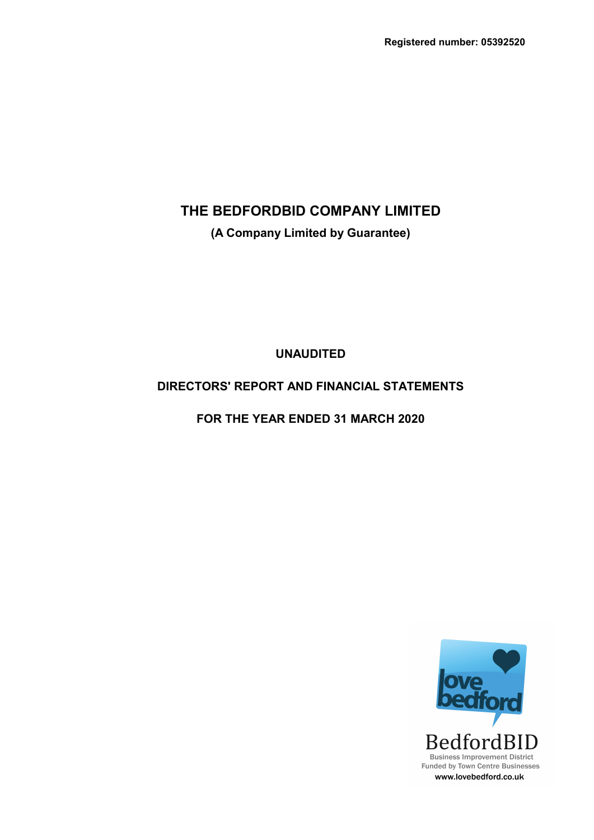**(A Company Limited by Guarantee)**

**UNAUDITED**

## **DIRECTORS' REPORT AND FINANCIAL STATEMENTS**

**FOR THE YEAR ENDED 31 MARCH 2020**

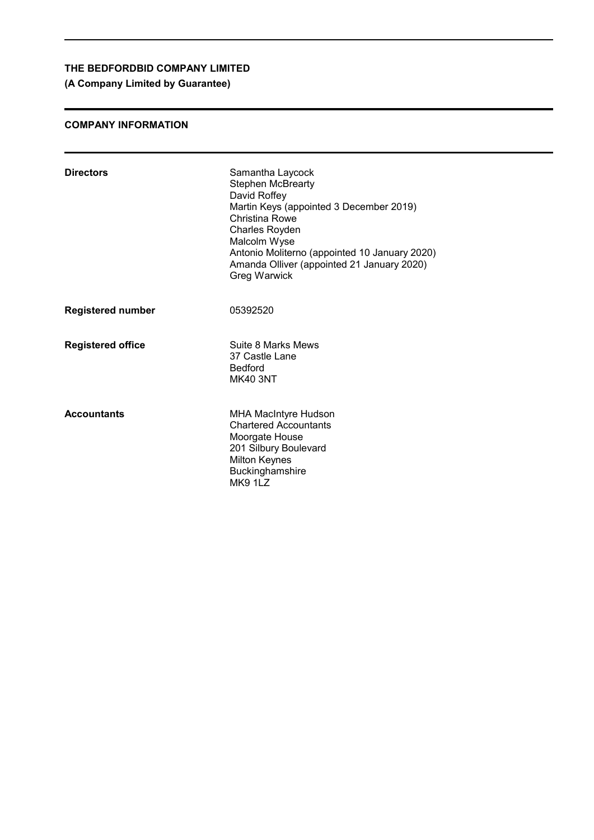**(A Company Limited by Guarantee)**

### **COMPANY INFORMATION**

| <b>Directors</b>         | Samantha Laycock<br><b>Stephen McBrearty</b><br>David Roffey<br>Martin Keys (appointed 3 December 2019)<br>Christina Rowe<br><b>Charles Royden</b><br>Malcolm Wyse<br>Antonio Moliterno (appointed 10 January 2020)<br>Amanda Olliver (appointed 21 January 2020)<br>Greg Warwick |
|--------------------------|-----------------------------------------------------------------------------------------------------------------------------------------------------------------------------------------------------------------------------------------------------------------------------------|
| <b>Registered number</b> | 05392520                                                                                                                                                                                                                                                                          |
| <b>Registered office</b> | Suite 8 Marks Mews<br>37 Castle Lane<br><b>Bedford</b><br><b>MK40 3NT</b>                                                                                                                                                                                                         |
| <b>Accountants</b>       | <b>MHA MacIntyre Hudson</b><br><b>Chartered Accountants</b><br>Moorgate House<br>201 Silbury Boulevard<br><b>Milton Keynes</b><br>Buckinghamshire<br><b>MK9 1LZ</b>                                                                                                               |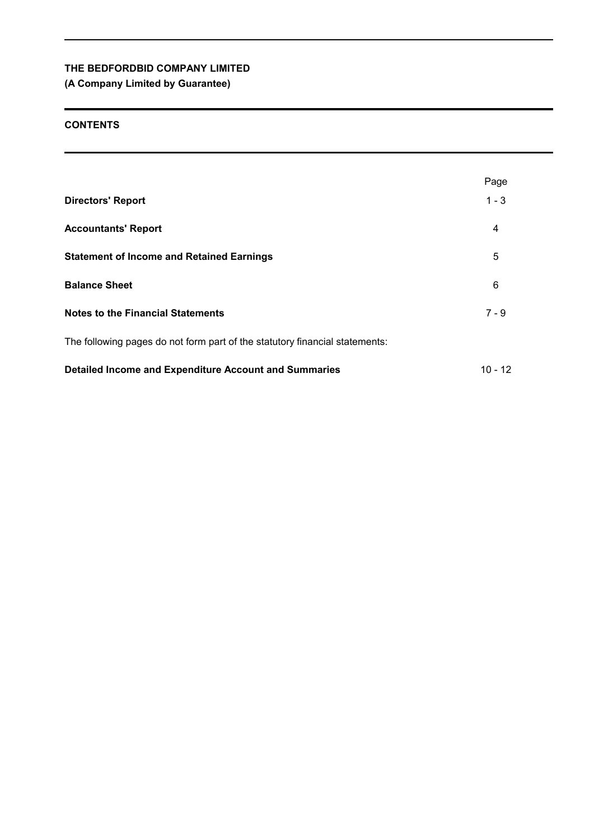## **(A Company Limited by Guarantee)**

### **CONTENTS**

|                                                                             | Page      |
|-----------------------------------------------------------------------------|-----------|
| <b>Directors' Report</b>                                                    | $1 - 3$   |
| <b>Accountants' Report</b>                                                  | 4         |
| <b>Statement of Income and Retained Earnings</b>                            | 5         |
| <b>Balance Sheet</b>                                                        | 6         |
| <b>Notes to the Financial Statements</b>                                    | $7 - 9$   |
| The following pages do not form part of the statutory financial statements: |           |
| Detailed Income and Expenditure Account and Summaries                       | $10 - 12$ |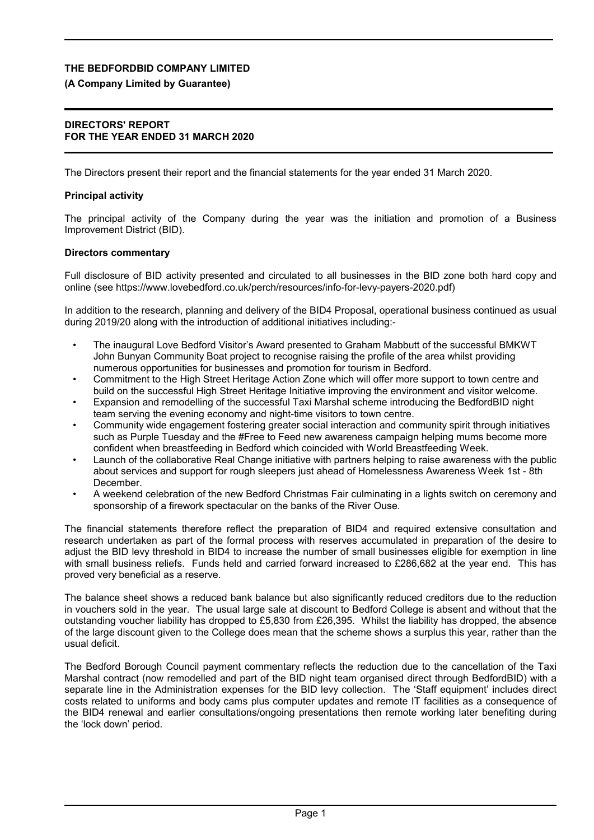#### **(A Company Limited by Guarantee)**

#### **DIRECTORS' REPORT FOR THE YEAR ENDED 31 MARCH 2020**

The Directors present their report and the financial statements for the year ended 31 March 2020.

#### **Principal activity**

The principal activity of the Company during the year was the initiation and promotion of a Business Improvement District (BID).

#### **Directors commentary**

Full disclosure of BID activity presented and circulated to all businesses in the BID zone both hard copy and online (see https://www.lovebedford.co.uk/perch/resources/info-for-levy-payers-2020.pdf)

In addition to the research, planning and delivery of the BID4 Proposal, operational business continued as usual during 2019/20 along with the introduction of additional initiatives including:-

- The inaugural Love Bedford Visitor's Award presented to Graham Mabbutt of the successful BMKWT John Bunyan Community Boat project to recognise raising the profile of the area whilst providing numerous opportunities for businesses and promotion for tourism in Bedford.
- Commitment to the High Street Heritage Action Zone which will offer more support to town centre and build on the successful High Street Heritage Initiative improving the environment and visitor welcome.
- Expansion and remodelling of the successful Taxi Marshal scheme introducing the BedfordBID night team serving the evening economy and night-time visitors to town centre.
- Community wide engagement fostering greater social interaction and community spirit through initiatives such as Purple Tuesday and the #Free to Feed new awareness campaign helping mums become more confident when breastfeeding in Bedford which coincided with World Breastfeeding Week.
- Launch of the collaborative Real Change initiative with partners helping to raise awareness with the public about services and support for rough sleepers just ahead of Homelessness Awareness Week 1st - 8th December.
- A weekend celebration of the new Bedford Christmas Fair culminating in a lights switch on ceremony and sponsorship of a firework spectacular on the banks of the River Ouse.

The financial statements therefore reflect the preparation of BID4 and required extensive consultation and research undertaken as part of the formal process with reserves accumulated in preparation of the desire to adjust the BID levy threshold in BID4 to increase the number of small businesses eligible for exemption in line with small business reliefs. Funds held and carried forward increased to £286,682 at the year end. This has proved very beneficial as a reserve.

The balance sheet shows a reduced bank balance but also significantly reduced creditors due to the reduction in vouchers sold in the year. The usual large sale at discount to Bedford College is absent and without that the outstanding voucher liability has dropped to £5,830 from £26,395. Whilst the liability has dropped, the absence of the large discount given to the College does mean that the scheme shows a surplus this year, rather than the usual deficit.

The Bedford Borough Council payment commentary reflects the reduction due to the cancellation of the Taxi Marshal contract (now remodelled and part of the BID night team organised direct through BedfordBID) with a separate line in the Administration expenses for the BID levy collection. The 'Staff equipment' includes direct costs related to uniforms and body cams plus computer updates and remote IT facilities as a consequence of the BID4 renewal and earlier consultations/ongoing presentations then remote working later benefiting during the 'lock down' period.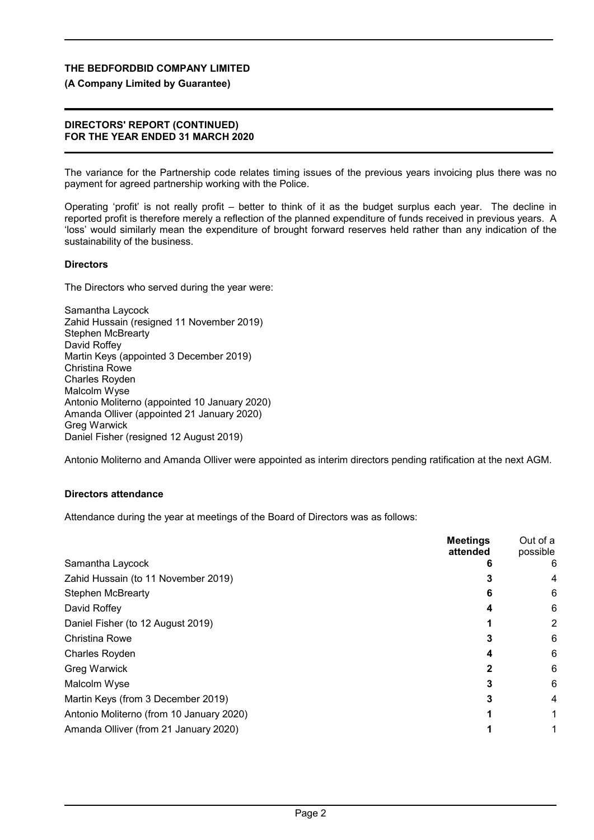#### **(A Company Limited by Guarantee)**

#### **DIRECTORS' REPORT (CONTINUED) FOR THE YEAR ENDED 31 MARCH 2020**

The variance for the Partnership code relates timing issues of the previous years invoicing plus there was no payment for agreed partnership working with the Police.

Operating 'profit' is not really profit – better to think of it as the budget surplus each year. The decline in reported profit is therefore merely a reflection of the planned expenditure of funds received in previous years. A 'loss' would similarly mean the expenditure of brought forward reserves held rather than any indication of the sustainability of the business.

#### **Directors**

The Directors who served during the year were:

Samantha Laycock Zahid Hussain (resigned 11 November 2019) Stephen McBrearty David Roffey Martin Keys (appointed 3 December 2019) Christina Rowe Charles Royden Malcolm Wyse Antonio Moliterno (appointed 10 January 2020) Amanda Olliver (appointed 21 January 2020) Greg Warwick Daniel Fisher (resigned 12 August 2019)

Antonio Moliterno and Amanda Olliver were appointed as interim directors pending ratification at the next AGM.

### **Directors attendance**

Attendance during the year at meetings of the Board of Directors was as follows:

| <b>Meetings</b><br>attended              |   | Out of a<br>possible |
|------------------------------------------|---|----------------------|
| Samantha Laycock                         |   | 6                    |
| Zahid Hussain (to 11 November 2019)      |   | 4                    |
| <b>Stephen McBrearty</b>                 | 6 | 6                    |
| David Roffey                             |   | 6                    |
| Daniel Fisher (to 12 August 2019)        |   | 2                    |
| Christina Rowe                           |   | 6                    |
| <b>Charles Royden</b>                    |   | 6                    |
| <b>Greg Warwick</b>                      |   | 6                    |
| Malcolm Wyse                             |   | 6                    |
| Martin Keys (from 3 December 2019)       |   | 4                    |
| Antonio Moliterno (from 10 January 2020) |   |                      |
| Amanda Olliver (from 21 January 2020)    |   |                      |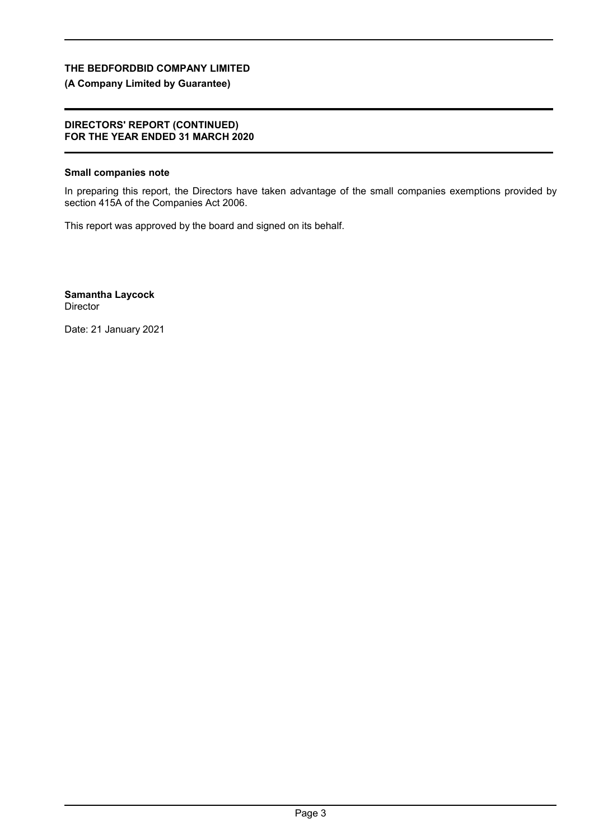### **(A Company Limited by Guarantee)**

#### **DIRECTORS' REPORT (CONTINUED) FOR THE YEAR ENDED 31 MARCH 2020**

#### **Small companies note**

In preparing this report, the Directors have taken advantage of the small companies exemptions provided by section 415A of the Companies Act 2006.

This report was approved by the board and signed on its behalf.

**Samantha Laycock** Director

Date: 21 January 2021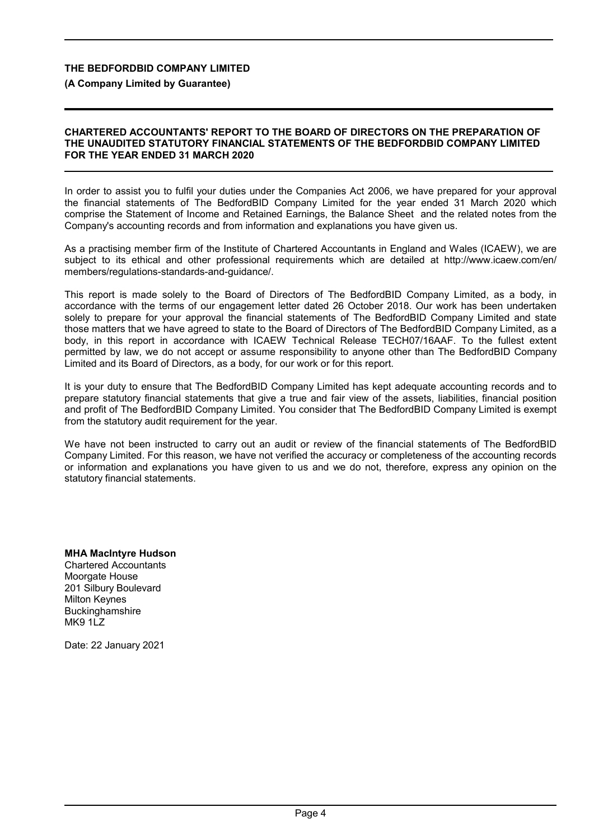#### **(A Company Limited by Guarantee)**

#### **CHARTERED ACCOUNTANTS' REPORT TO THE BOARD OF DIRECTORS ON THE PREPARATION OF THE UNAUDITED STATUTORY FINANCIAL STATEMENTS OF THE BEDFORDBID COMPANY LIMITED FOR THE YEAR ENDED 31 MARCH 2020**

In order to assist you to fulfil your duties under the Companies Act 2006, we have prepared for your approval the financial statements of The BedfordBID Company Limited for the year ended 31 March 2020 which comprise the Statement of Income and Retained Earnings, the Balance Sheet and the related notes from the Company's accounting records and from information and explanations you have given us.

As a practising member firm of the Institute of Chartered Accountants in England and Wales (ICAEW), we are subject to its ethical and other professional requirements which are detailed at http://www.icaew.com/en/ members/regulations-standards-and-guidance/.

This report is made solely to the Board of Directors of The BedfordBID Company Limited, as a body, in accordance with the terms of our engagement letter dated 26 October 2018. Our work has been undertaken solely to prepare for your approval the financial statements of The BedfordBID Company Limited and state those matters that we have agreed to state to the Board of Directors of The BedfordBID Company Limited, as a body, in this report in accordance with ICAEW Technical Release TECH07/16AAF. To the fullest extent permitted by law, we do not accept or assume responsibility to anyone other than The BedfordBID Company Limited and its Board of Directors, as a body, for our work or for this report.

It is your duty to ensure that The BedfordBID Company Limited has kept adequate accounting records and to prepare statutory financial statements that give a true and fair view of the assets, liabilities, financial position and profit of The BedfordBID Company Limited. You consider that The BedfordBID Company Limited is exempt from the statutory audit requirement for the year.

We have not been instructed to carry out an audit or review of the financial statements of The BedfordBID Company Limited. For this reason, we have not verified the accuracy or completeness of the accounting records or information and explanations you have given to us and we do not, therefore, express any opinion on the statutory financial statements.

**MHA MacIntyre Hudson** Chartered Accountants Moorgate House 201 Silbury Boulevard Milton Keynes **Buckinghamshire** MK9 1LZ

Date: 22 January 2021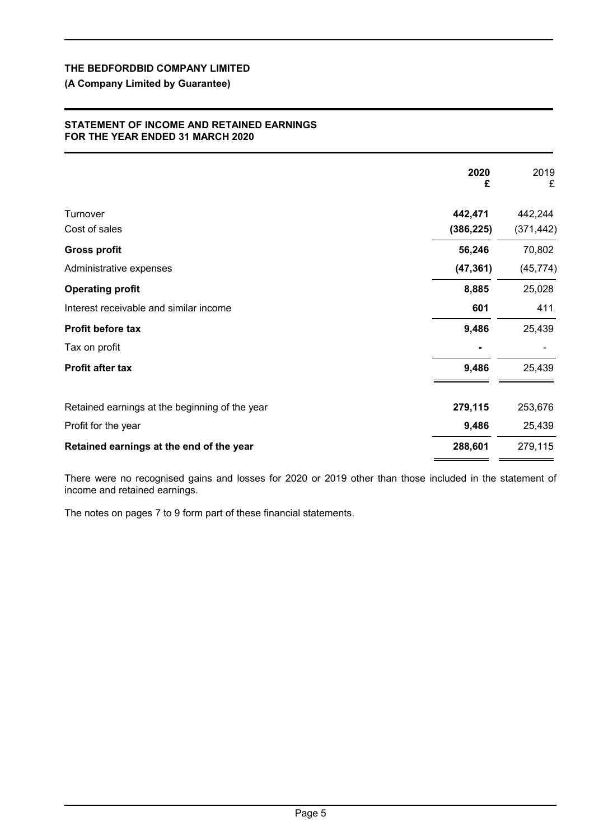### **(A Company Limited by Guarantee)**

#### **STATEMENT OF INCOME AND RETAINED EARNINGS FOR THE YEAR ENDED 31 MARCH 2020**

|                                                | 2020<br>£             | 2019<br>£             |
|------------------------------------------------|-----------------------|-----------------------|
| Turnover<br>Cost of sales                      | 442,471<br>(386, 225) | 442,244<br>(371, 442) |
| <b>Gross profit</b>                            | 56,246                | 70,802                |
| Administrative expenses                        | (47, 361)             | (45, 774)             |
| <b>Operating profit</b>                        | 8,885                 | 25,028                |
| Interest receivable and similar income         | 601                   | 411                   |
| Profit before tax                              | 9,486                 | 25,439                |
| Tax on profit                                  |                       |                       |
| Profit after tax                               | 9,486                 | 25,439                |
| Retained earnings at the beginning of the year | 279,115               | 253,676               |
| Profit for the year                            | 9,486                 | 25,439                |
| Retained earnings at the end of the year       | 288,601               | 279,115               |

There were no recognised gains and losses for 2020 or 2019 other than those included in the statement of income and retained earnings.

The notes on pages 7 to 9 form part of these financial statements.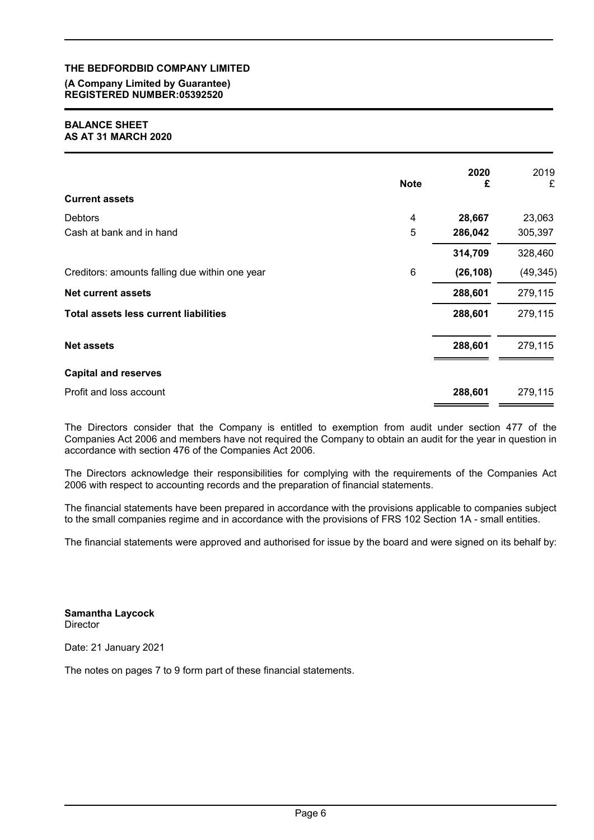#### **(A Company Limited by Guarantee) REGISTERED NUMBER:05392520**

#### **BALANCE SHEET AS AT 31 MARCH 2020**

|                                                | <b>Note</b> | 2020<br>£ | 2019<br>£ |
|------------------------------------------------|-------------|-----------|-----------|
| <b>Current assets</b>                          |             |           |           |
| <b>Debtors</b>                                 | 4           | 28,667    | 23,063    |
| Cash at bank and in hand                       | 5           | 286,042   | 305,397   |
|                                                |             | 314,709   | 328,460   |
| Creditors: amounts falling due within one year | 6           | (26, 108) | (49, 345) |
| <b>Net current assets</b>                      |             | 288,601   | 279,115   |
| <b>Total assets less current liabilities</b>   |             | 288,601   | 279,115   |
| <b>Net assets</b>                              |             | 288,601   | 279,115   |
| <b>Capital and reserves</b>                    |             |           |           |
| Profit and loss account                        |             | 288,601   | 279,115   |

The Directors consider that the Company is entitled to exemption from audit under section 477 of the Companies Act 2006 and members have not required the Company to obtain an audit for the year in question in accordance with section 476 of the Companies Act 2006.

The Directors acknowledge their responsibilities for complying with the requirements of the Companies Act 2006 with respect to accounting records and the preparation of financial statements.

The financial statements have been prepared in accordance with the provisions applicable to companies subject to the small companies regime and in accordance with the provisions of FRS 102 Section 1A - small entities.

The financial statements were approved and authorised for issue by the board and were signed on its behalf by:

**Samantha Laycock Director** 

Date: 21 January 2021

The notes on pages 7 to 9 form part of these financial statements.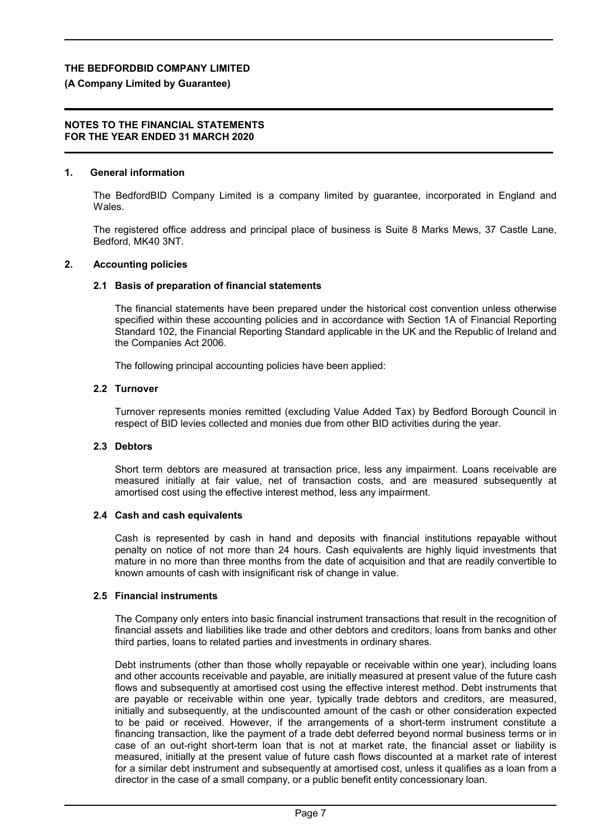### **(A Company Limited by Guarantee)**

#### **NOTES TO THE FINANCIAL STATEMENTS FOR THE YEAR ENDED 31 MARCH 2020**

### **1. General information**

The BedfordBID Company Limited is a company limited by guarantee, incorporated in England and Wales.

The registered office address and principal place of business is Suite 8 Marks Mews, 37 Castle Lane, Bedford, MK40 3NT.

### **2. Accounting policies**

### **2.1 Basis of preparation of financial statements**

The financial statements have been prepared under the historical cost convention unless otherwise specified within these accounting policies and in accordance with Section 1A of Financial Reporting Standard 102, the Financial Reporting Standard applicable in the UK and the Republic of Ireland and the Companies Act 2006.

The following principal accounting policies have been applied:

### **2.2 Turnover**

Turnover represents monies remitted (excluding Value Added Tax) by Bedford Borough Council in respect of BID levies collected and monies due from other BID activities during the year.

### **2.3 Debtors**

Short term debtors are measured at transaction price, less any impairment. Loans receivable are measured initially at fair value, net of transaction costs, and are measured subsequently at amortised cost using the effective interest method, less any impairment.

### **2.4 Cash and cash equivalents**

Cash is represented by cash in hand and deposits with financial institutions repayable without penalty on notice of not more than 24 hours. Cash equivalents are highly liquid investments that mature in no more than three months from the date of acquisition and that are readily convertible to known amounts of cash with insignificant risk of change in value.

### **2.5 Financial instruments**

The Company only enters into basic financial instrument transactions that result in the recognition of financial assets and liabilities like trade and other debtors and creditors, loans from banks and other third parties, loans to related parties and investments in ordinary shares.

Debt instruments (other than those wholly repayable or receivable within one year), including loans and other accounts receivable and payable, are initially measured at present value of the future cash flows and subsequently at amortised cost using the effective interest method. Debt instruments that are payable or receivable within one year, typically trade debtors and creditors, are measured, initially and subsequently, at the undiscounted amount of the cash or other consideration expected to be paid or received. However, if the arrangements of a short-term instrument constitute a financing transaction, like the payment of a trade debt deferred beyond normal business terms or in case of an out-right short-term loan that is not at market rate, the financial asset or liability is measured, initially at the present value of future cash flows discounted at a market rate of interest for a similar debt instrument and subsequently at amortised cost, unless it qualifies as a loan from a director in the case of a small company, or a public benefit entity concessionary loan.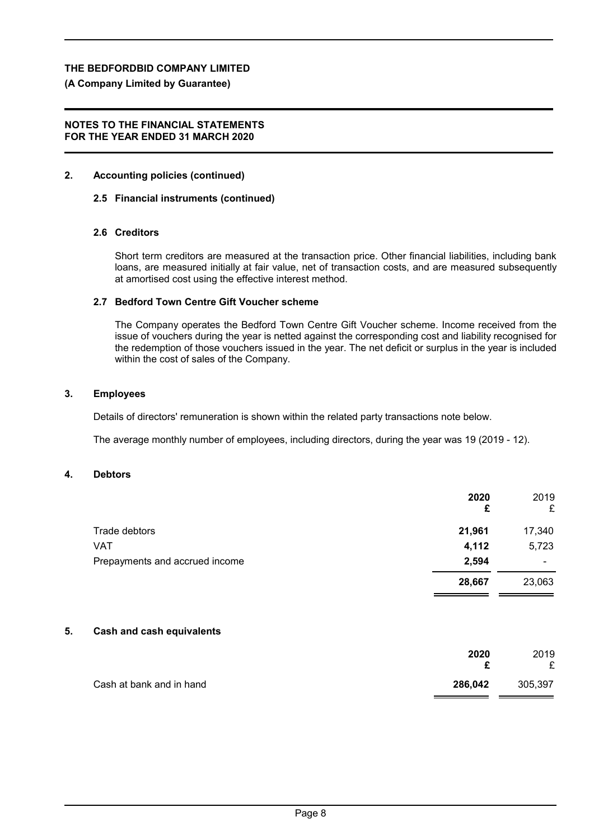### **(A Company Limited by Guarantee)**

#### **NOTES TO THE FINANCIAL STATEMENTS FOR THE YEAR ENDED 31 MARCH 2020**

### **2. Accounting policies (continued)**

### **2.5 Financial instruments (continued)**

### **2.6 Creditors**

Short term creditors are measured at the transaction price. Other financial liabilities, including bank loans, are measured initially at fair value, net of transaction costs, and are measured subsequently at amortised cost using the effective interest method.

### **2.7 Bedford Town Centre Gift Voucher scheme**

The Company operates the Bedford Town Centre Gift Voucher scheme. Income received from the issue of vouchers during the year is netted against the corresponding cost and liability recognised for the redemption of those vouchers issued in the year. The net deficit or surplus in the year is included within the cost of sales of the Company.

#### **3. Employees**

Details of directors' remuneration is shown within the related party transactions note below.

The average monthly number of employees, including directors, during the year was 19 (2019 - 12).

#### **4. Debtors**

| 2020<br>£ | 2019<br>£ |
|-----------|-----------|
| 21,961    | 17,340    |
| 4,112     | 5,723     |
| 2,594     | ۰         |
| 28,667    | 23,063    |
|           |           |

#### **5. Cash and cash equivalents**

|                          | 2020<br>c | 2019<br>£ |
|--------------------------|-----------|-----------|
| Cash at bank and in hand | 286,042   | 305,397   |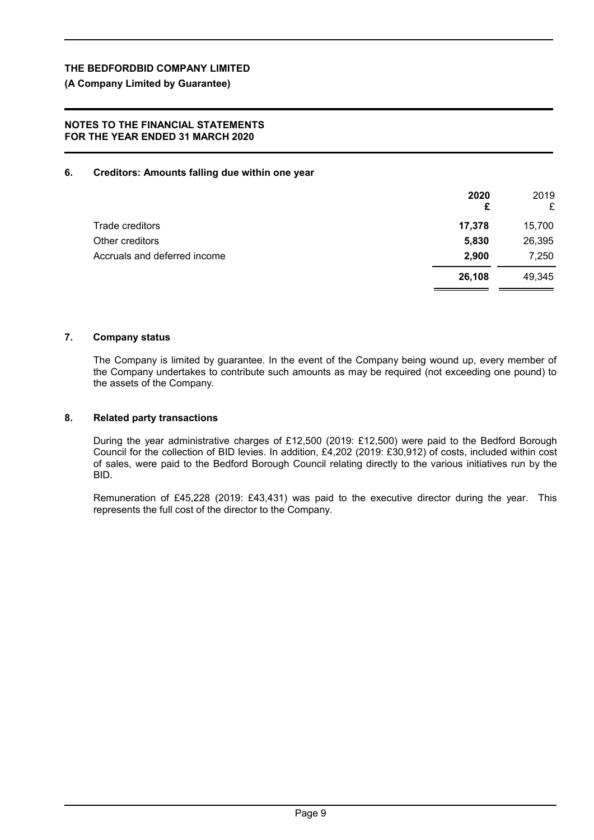**(A Company Limited by Guarantee)**

#### **NOTES TO THE FINANCIAL STATEMENTS FOR THE YEAR ENDED 31 MARCH 2020**

#### **6. Creditors: Amounts falling due within one year**

|                              | 2020<br>£ | 2019<br>£ |
|------------------------------|-----------|-----------|
| Trade creditors              | 17,378    | 15,700    |
| Other creditors              | 5,830     | 26,395    |
| Accruals and deferred income | 2,900     | 7,250     |
|                              | 26,108    | 49,345    |

#### **7. Company status**

The Company is limited by guarantee. In the event of the Company being wound up, every member of the Company undertakes to contribute such amounts as may be required (not exceeding one pound) to the assets of the Company.

#### **8. Related party transactions**

During the year administrative charges of £12,500 (2019: £12,500) were paid to the Bedford Borough Council for the collection of BID levies. In addition, £4,202 (2019: £30,912) of costs, included within cost of sales, were paid to the Bedford Borough Council relating directly to the various initiatives run by the BID.

Remuneration of £45,228 (2019: £43,431) was paid to the executive director during the year. This represents the full cost of the director to the Company.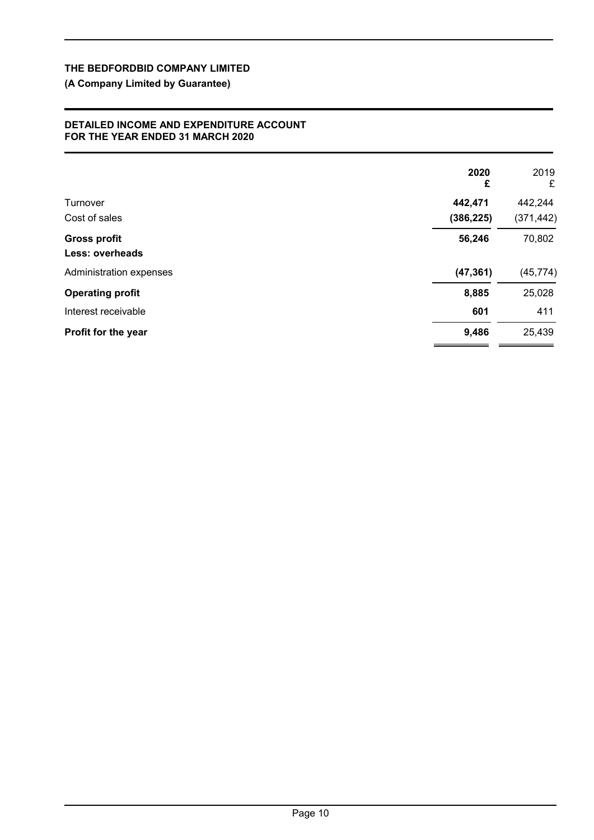## **(A Company Limited by Guarantee)**

#### **DETAILED INCOME AND EXPENDITURE ACCOUNT FOR THE YEAR ENDED 31 MARCH 2020**

|                         | 2020<br>£  | 2019<br>£  |
|-------------------------|------------|------------|
| Turnover                | 442,471    | 442,244    |
| Cost of sales           | (386, 225) | (371, 442) |
| <b>Gross profit</b>     | 56,246     | 70,802     |
| <b>Less: overheads</b>  |            |            |
| Administration expenses | (47, 361)  | (45, 774)  |
| <b>Operating profit</b> | 8,885      | 25,028     |
| Interest receivable     | 601        | 411        |
| Profit for the year     | 9,486      | 25,439     |
|                         |            |            |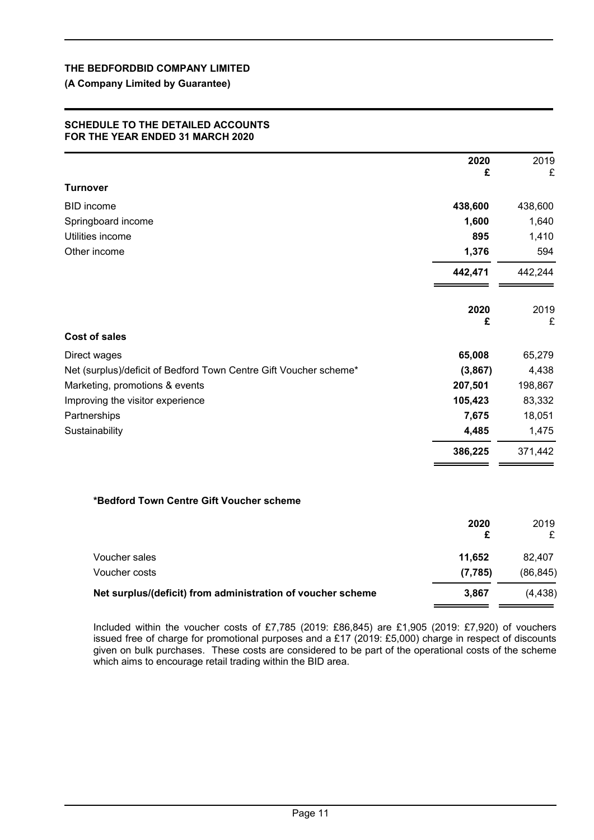#### **(A Company Limited by Guarantee)**

#### **SCHEDULE TO THE DETAILED ACCOUNTS FOR THE YEAR ENDED 31 MARCH 2020**

|                                                                   | 2020<br>£ | 2019<br>£ |
|-------------------------------------------------------------------|-----------|-----------|
| Turnover                                                          |           |           |
| <b>BID</b> income                                                 | 438,600   | 438,600   |
| Springboard income                                                | 1,600     | 1,640     |
| Utilities income                                                  | 895       | 1,410     |
| Other income                                                      | 1,376     | 594       |
|                                                                   | 442,471   | 442,244   |
|                                                                   | 2020<br>£ | 2019<br>£ |
| <b>Cost of sales</b>                                              |           |           |
| Direct wages                                                      | 65,008    | 65,279    |
| Net (surplus)/deficit of Bedford Town Centre Gift Voucher scheme* | (3,867)   | 4,438     |
| Marketing, promotions & events                                    | 207,501   | 198,867   |
| Improving the visitor experience                                  | 105,423   | 83,332    |
| Partnerships                                                      | 7,675     | 18,051    |
| Sustainability                                                    | 4,485     | 1,475     |
|                                                                   | 386,225   | 371,442   |
| *Bedford Town Centre Gift Voucher scheme                          |           |           |
|                                                                   | 2020<br>£ | 2019<br>£ |
| Voucher sales                                                     | 11,652    | 82,407    |
| Voucher costs                                                     | (7, 785)  | (86, 845) |
| Net surplus/(deficit) from administration of voucher scheme       | 3,867     | (4, 438)  |
|                                                                   |           |           |

Included within the voucher costs of £7,785 (2019: £86,845) are £1,905 (2019: £7,920) of vouchers issued free of charge for promotional purposes and a £17 (2019: £5,000) charge in respect of discounts given on bulk purchases. These costs are considered to be part of the operational costs of the scheme which aims to encourage retail trading within the BID area.